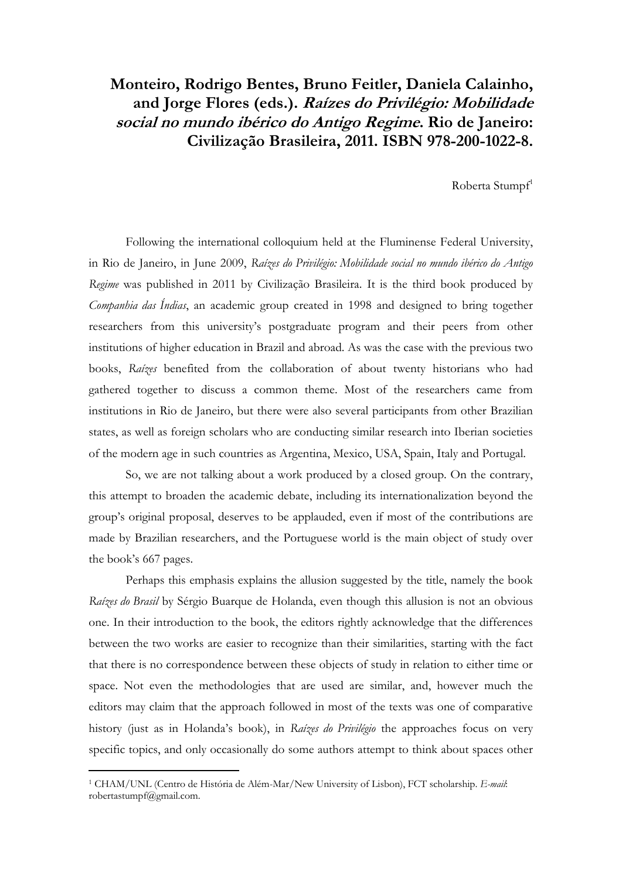## **Monteiro, Rodrigo Bentes, Bruno Feitler, Daniela Calainho, and Jorge Flores (eds.). Raízes do Privilégio: Mobilidade social no mundo ibérico do Antigo Regime. Rio de Janeiro: Civilização Brasileira, 2011. ISBN 978-200-1022-8.**

Roberta Stumpf<sup>1</sup>

Following the international colloquium held at the Fluminense Federal University, in Rio de Janeiro, in June 2009, *Raízes do Privilégio: Mobilidade social no mundo ibérico do Antigo Regime* was published in 2011 by Civilização Brasileira. It is the third book produced by *Companhia das Índias*, an academic group created in 1998 and designed to bring together researchers from this university's postgraduate program and their peers from other institutions of higher education in Brazil and abroad. As was the case with the previous two books, *Raízes* benefited from the collaboration of about twenty historians who had gathered together to discuss a common theme. Most of the researchers came from institutions in Rio de Janeiro, but there were also several participants from other Brazilian states, as well as foreign scholars who are conducting similar research into Iberian societies of the modern age in such countries as Argentina, Mexico, USA, Spain, Italy and Portugal.

So, we are not talking about a work produced by a closed group. On the contrary, this attempt to broaden the academic debate, including its internationalization beyond the group's original proposal, deserves to be applauded, even if most of the contributions are made by Brazilian researchers, and the Portuguese world is the main object of study over the book's 667 pages.

Perhaps this emphasis explains the allusion suggested by the title, namely the book *Raízes do Brasil* by Sérgio Buarque de Holanda, even though this allusion is not an obvious one. In their introduction to the book, the editors rightly acknowledge that the differences between the two works are easier to recognize than their similarities, starting with the fact that there is no correspondence between these objects of study in relation to either time or space. Not even the methodologies that are used are similar, and, however much the editors may claim that the approach followed in most of the texts was one of comparative history (just as in Holanda's book), in *Raízes do Privilégio* the approaches focus on very specific topics, and only occasionally do some authors attempt to think about spaces other

 $\overline{\phantom{a}}$ 

<sup>1</sup> CHAM/UNL (Centro de História de Além-Mar/New University of Lisbon), FCT scholarship. *E-mail*: robertastumpf@gmail.com.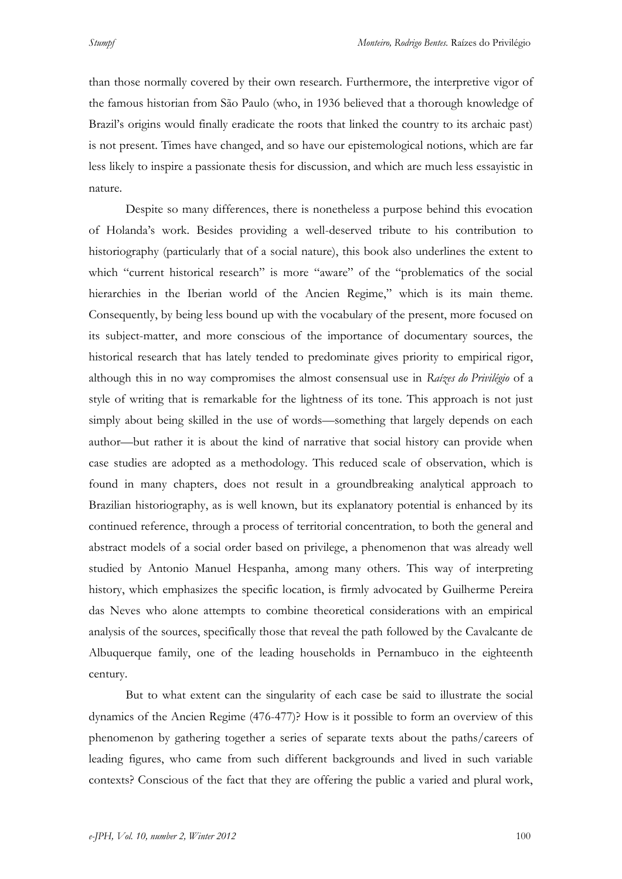than those normally covered by their own research. Furthermore, the interpretive vigor of the famous historian from São Paulo (who, in 1936 believed that a thorough knowledge of Brazil's origins would finally eradicate the roots that linked the country to its archaic past) is not present. Times have changed, and so have our epistemological notions, which are far less likely to inspire a passionate thesis for discussion, and which are much less essayistic in nature.

Despite so many differences, there is nonetheless a purpose behind this evocation of Holanda's work. Besides providing a well-deserved tribute to his contribution to historiography (particularly that of a social nature), this book also underlines the extent to which "current historical research" is more "aware" of the "problematics of the social hierarchies in the Iberian world of the Ancien Regime," which is its main theme. Consequently, by being less bound up with the vocabulary of the present, more focused on its subject-matter, and more conscious of the importance of documentary sources, the historical research that has lately tended to predominate gives priority to empirical rigor, although this in no way compromises the almost consensual use in *Raízes do Privilégio* of a style of writing that is remarkable for the lightness of its tone. This approach is not just simply about being skilled in the use of words—something that largely depends on each author—but rather it is about the kind of narrative that social history can provide when case studies are adopted as a methodology. This reduced scale of observation, which is found in many chapters, does not result in a groundbreaking analytical approach to Brazilian historiography, as is well known, but its explanatory potential is enhanced by its continued reference, through a process of territorial concentration, to both the general and abstract models of a social order based on privilege, a phenomenon that was already well studied by Antonio Manuel Hespanha, among many others. This way of interpreting history, which emphasizes the specific location, is firmly advocated by Guilherme Pereira das Neves who alone attempts to combine theoretical considerations with an empirical analysis of the sources, specifically those that reveal the path followed by the Cavalcante de Albuquerque family, one of the leading households in Pernambuco in the eighteenth century.

But to what extent can the singularity of each case be said to illustrate the social dynamics of the Ancien Regime (476-477)? How is it possible to form an overview of this phenomenon by gathering together a series of separate texts about the paths/careers of leading figures, who came from such different backgrounds and lived in such variable contexts? Conscious of the fact that they are offering the public a varied and plural work,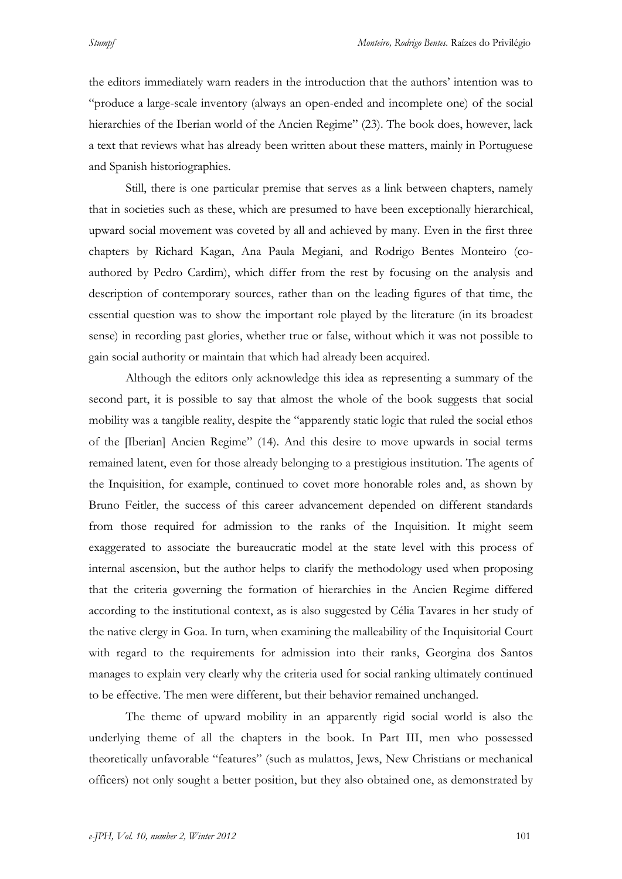the editors immediately warn readers in the introduction that the authors' intention was to "produce a large-scale inventory (always an open-ended and incomplete one) of the social hierarchies of the Iberian world of the Ancien Regime" (23). The book does, however, lack a text that reviews what has already been written about these matters, mainly in Portuguese and Spanish historiographies.

Still, there is one particular premise that serves as a link between chapters, namely that in societies such as these, which are presumed to have been exceptionally hierarchical, upward social movement was coveted by all and achieved by many. Even in the first three chapters by Richard Kagan, Ana Paula Megiani, and Rodrigo Bentes Monteiro (coauthored by Pedro Cardim), which differ from the rest by focusing on the analysis and description of contemporary sources, rather than on the leading figures of that time, the essential question was to show the important role played by the literature (in its broadest sense) in recording past glories, whether true or false, without which it was not possible to gain social authority or maintain that which had already been acquired.

Although the editors only acknowledge this idea as representing a summary of the second part, it is possible to say that almost the whole of the book suggests that social mobility was a tangible reality, despite the "apparently static logic that ruled the social ethos of the [Iberian] Ancien Regime" (14). And this desire to move upwards in social terms remained latent, even for those already belonging to a prestigious institution. The agents of the Inquisition, for example, continued to covet more honorable roles and, as shown by Bruno Feitler, the success of this career advancement depended on different standards from those required for admission to the ranks of the Inquisition. It might seem exaggerated to associate the bureaucratic model at the state level with this process of internal ascension, but the author helps to clarify the methodology used when proposing that the criteria governing the formation of hierarchies in the Ancien Regime differed according to the institutional context, as is also suggested by Célia Tavares in her study of the native clergy in Goa. In turn, when examining the malleability of the Inquisitorial Court with regard to the requirements for admission into their ranks, Georgina dos Santos manages to explain very clearly why the criteria used for social ranking ultimately continued to be effective. The men were different, but their behavior remained unchanged.

The theme of upward mobility in an apparently rigid social world is also the underlying theme of all the chapters in the book. In Part III, men who possessed theoretically unfavorable "features" (such as mulattos, Jews, New Christians or mechanical officers) not only sought a better position, but they also obtained one, as demonstrated by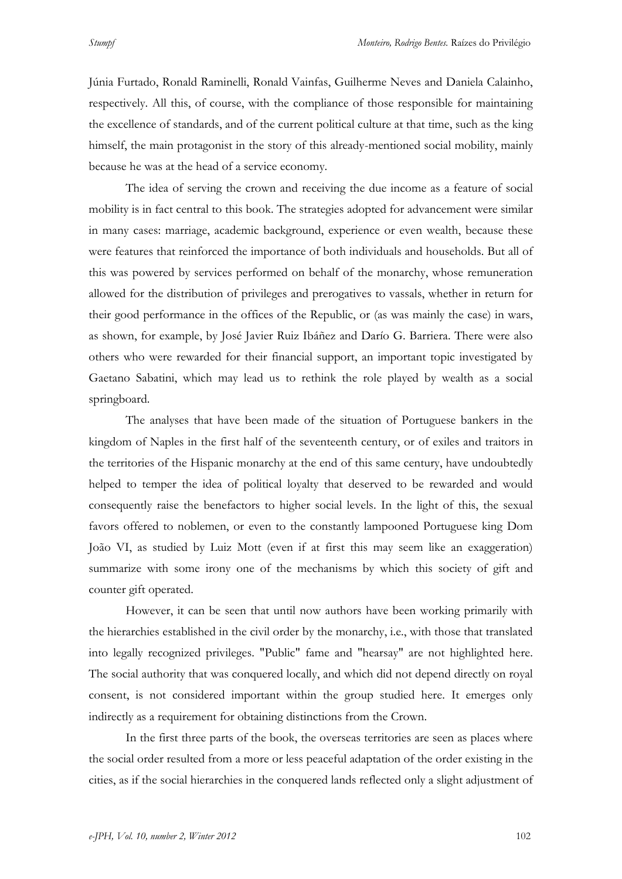Júnia Furtado, Ronald Raminelli, Ronald Vainfas, Guilherme Neves and Daniela Calainho, respectively. All this, of course, with the compliance of those responsible for maintaining the excellence of standards, and of the current political culture at that time, such as the king himself, the main protagonist in the story of this already-mentioned social mobility, mainly because he was at the head of a service economy.

The idea of serving the crown and receiving the due income as a feature of social mobility is in fact central to this book. The strategies adopted for advancement were similar in many cases: marriage, academic background, experience or even wealth, because these were features that reinforced the importance of both individuals and households. But all of this was powered by services performed on behalf of the monarchy, whose remuneration allowed for the distribution of privileges and prerogatives to vassals, whether in return for their good performance in the offices of the Republic, or (as was mainly the case) in wars, as shown, for example, by José Javier Ruiz Ibáñez and Darío G. Barriera. There were also others who were rewarded for their financial support, an important topic investigated by Gaetano Sabatini, which may lead us to rethink the role played by wealth as a social springboard.

The analyses that have been made of the situation of Portuguese bankers in the kingdom of Naples in the first half of the seventeenth century, or of exiles and traitors in the territories of the Hispanic monarchy at the end of this same century, have undoubtedly helped to temper the idea of political loyalty that deserved to be rewarded and would consequently raise the benefactors to higher social levels. In the light of this, the sexual favors offered to noblemen, or even to the constantly lampooned Portuguese king Dom João VI, as studied by Luiz Mott (even if at first this may seem like an exaggeration) summarize with some irony one of the mechanisms by which this society of gift and counter gift operated.

However, it can be seen that until now authors have been working primarily with the hierarchies established in the civil order by the monarchy, i.e., with those that translated into legally recognized privileges. "Public" fame and "hearsay" are not highlighted here. The social authority that was conquered locally, and which did not depend directly on royal consent, is not considered important within the group studied here. It emerges only indirectly as a requirement for obtaining distinctions from the Crown.

In the first three parts of the book, the overseas territories are seen as places where the social order resulted from a more or less peaceful adaptation of the order existing in the cities, as if the social hierarchies in the conquered lands reflected only a slight adjustment of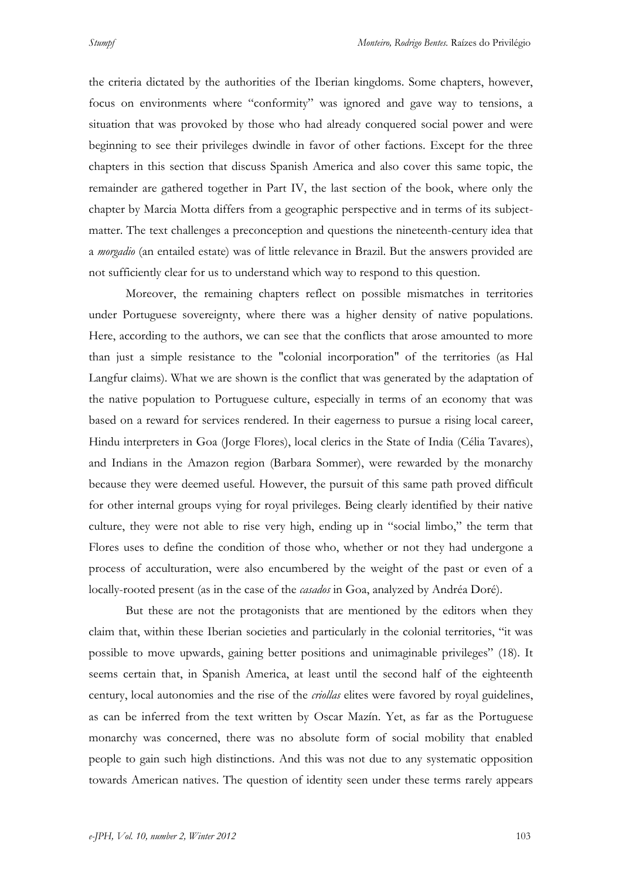the criteria dictated by the authorities of the Iberian kingdoms. Some chapters, however, focus on environments where "conformity" was ignored and gave way to tensions, a situation that was provoked by those who had already conquered social power and were beginning to see their privileges dwindle in favor of other factions. Except for the three chapters in this section that discuss Spanish America and also cover this same topic, the remainder are gathered together in Part IV, the last section of the book, where only the chapter by Marcia Motta differs from a geographic perspective and in terms of its subjectmatter. The text challenges a preconception and questions the nineteenth-century idea that a *morgadio* (an entailed estate) was of little relevance in Brazil. But the answers provided are not sufficiently clear for us to understand which way to respond to this question.

Moreover, the remaining chapters reflect on possible mismatches in territories under Portuguese sovereignty, where there was a higher density of native populations. Here, according to the authors, we can see that the conflicts that arose amounted to more than just a simple resistance to the "colonial incorporation" of the territories (as Hal Langfur claims). What we are shown is the conflict that was generated by the adaptation of the native population to Portuguese culture, especially in terms of an economy that was based on a reward for services rendered. In their eagerness to pursue a rising local career, Hindu interpreters in Goa (Jorge Flores), local clerics in the State of India (Célia Tavares), and Indians in the Amazon region (Barbara Sommer), were rewarded by the monarchy because they were deemed useful. However, the pursuit of this same path proved difficult for other internal groups vying for royal privileges. Being clearly identified by their native culture, they were not able to rise very high, ending up in "social limbo," the term that Flores uses to define the condition of those who, whether or not they had undergone a process of acculturation, were also encumbered by the weight of the past or even of a locally-rooted present (as in the case of the *casados* in Goa, analyzed by Andréa Doré).

But these are not the protagonists that are mentioned by the editors when they claim that, within these Iberian societies and particularly in the colonial territories, "it was possible to move upwards, gaining better positions and unimaginable privileges" (18). It seems certain that, in Spanish America, at least until the second half of the eighteenth century, local autonomies and the rise of the *criollas* elites were favored by royal guidelines, as can be inferred from the text written by Oscar Mazín. Yet, as far as the Portuguese monarchy was concerned, there was no absolute form of social mobility that enabled people to gain such high distinctions. And this was not due to any systematic opposition towards American natives. The question of identity seen under these terms rarely appears